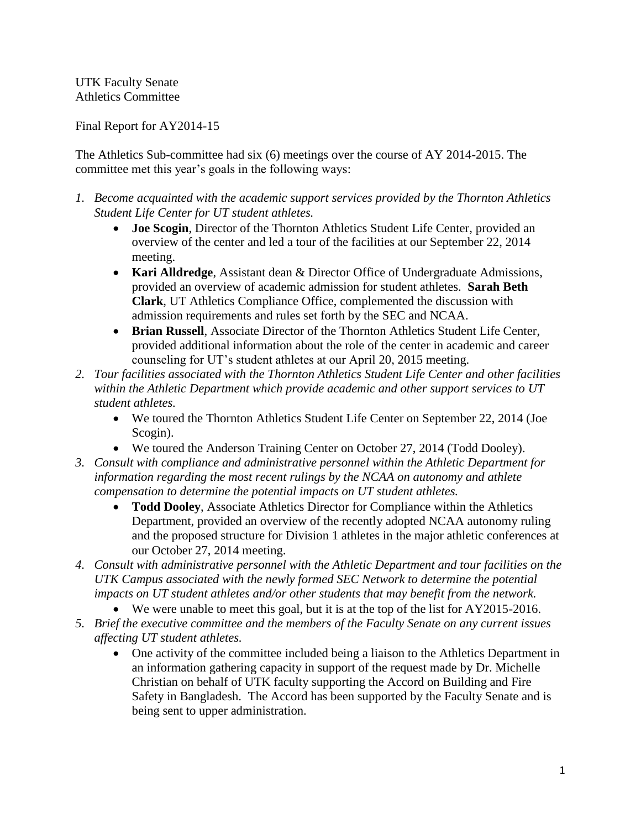UTK Faculty Senate Athletics Committee

Final Report for AY2014-15

The Athletics Sub-committee had six (6) meetings over the course of AY 2014-2015. The committee met this year's goals in the following ways:

- *1. Become acquainted with the academic support services provided by the Thornton Athletics Student Life Center for UT student athletes.*
	- **Joe Scogin**, Director of the Thornton Athletics Student Life Center, provided an overview of the center and led a tour of the facilities at our September 22, 2014 meeting.
	- **Kari Alldredge**, Assistant dean & Director Office of Undergraduate Admissions, provided an overview of academic admission for student athletes. **Sarah Beth Clark**, UT Athletics Compliance Office, complemented the discussion with admission requirements and rules set forth by the SEC and NCAA.
	- **Brian Russell**, Associate Director of the Thornton Athletics Student Life Center, provided additional information about the role of the center in academic and career counseling for UT's student athletes at our April 20, 2015 meeting.
- *2. Tour facilities associated with the Thornton Athletics Student Life Center and other facilities within the Athletic Department which provide academic and other support services to UT student athletes.*
	- We toured the Thornton Athletics Student Life Center on September 22, 2014 (Joe Scogin).
	- We toured the Anderson Training Center on October 27, 2014 (Todd Dooley).
- *3. Consult with compliance and administrative personnel within the Athletic Department for information regarding the most recent rulings by the NCAA on autonomy and athlete compensation to determine the potential impacts on UT student athletes.*
	- **Todd Dooley**, Associate Athletics Director for Compliance within the Athletics Department, provided an overview of the recently adopted NCAA autonomy ruling and the proposed structure for Division 1 athletes in the major athletic conferences at our October 27, 2014 meeting.
- *4. Consult with administrative personnel with the Athletic Department and tour facilities on the UTK Campus associated with the newly formed SEC Network to determine the potential impacts on UT student athletes and/or other students that may benefit from the network.* 
	- We were unable to meet this goal, but it is at the top of the list for AY2015-2016.
- *5. Brief the executive committee and the members of the Faculty Senate on any current issues affecting UT student athletes.*
	- One activity of the committee included being a liaison to the Athletics Department in an information gathering capacity in support of the request made by Dr. Michelle Christian on behalf of UTK faculty supporting the Accord on Building and Fire Safety in Bangladesh. The Accord has been supported by the Faculty Senate and is being sent to upper administration.